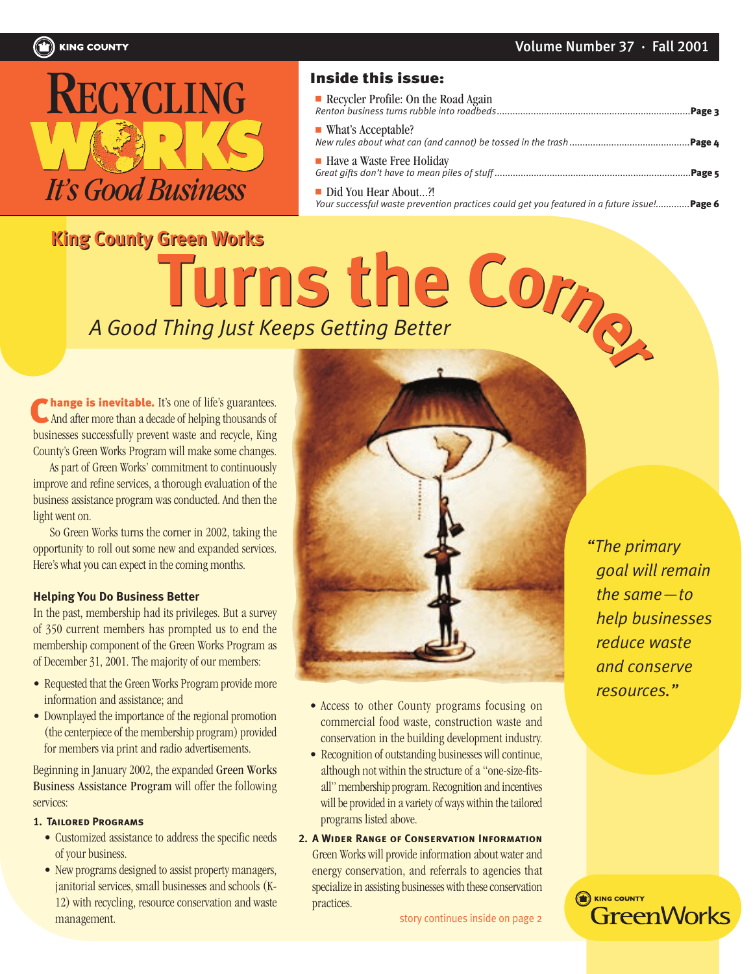<span id="page-0-0"></span>

### Inside this issue:

| Recycler Profile: On the Road Again                                                                                  |  |
|----------------------------------------------------------------------------------------------------------------------|--|
| ■ What's Acceptable?                                                                                                 |  |
| • Have a Waste Free Holiday                                                                                          |  |
| Did You Hear About?!<br>Your successful waste prevention practices could get you featured in a future issue ! Page 6 |  |

# *A Good Thing Just Keeps Getting Better* Turns the Corp **King County Green Works King County Green Works**

**hange is inevitable.** It's one of life's guarantees. And after more than a decade of helping thousands of businesses successfully prevent waste and recycle, King County's Green Works Program will make some changes. C

As part of Green Works' commitment to continuously improve and refine services, a thorough evaluation of the business assistance program was conducted. And then the light went on.

So Green Works turns the corner in 2002, taking the opportunity to roll out some new and expanded services. Here's what you can expect in the coming months.

### **Helping You Do Business Better**

In the past, membership had its privileges. But a survey of 350 current members has prompted us to end the membership component of the Green Works Program as of December 31, 2001. The majority of our members:

- Requested that the Green Works Program provide more information and assistance; and
- Downplayed the importance of the regional promotion (the centerpiece of the membership program) provided for members via print and radio advertisements.

Beginning in January 2002, the expanded Green Works Business Assistance Program will offer the following services:

#### **1. Tailored Programs**

- Customized assistance to address the specific needs of your business.
- New programs designed to assist property managers, janitorial services, small businesses and schools (K-12) with recycling, resource conservation and waste management.



- Access to other County programs focusing on commercial food waste, construction waste and conservation in the building development industry.
- Recognition of outstanding businesses will continue, although not within the structure of a "one-size-fitsall" membership program. Recognition and incentives will be provided in a variety of ways within the tailored programs listed above.
- **2. A Wider Range of Conservation Information**Green Works will provide information about water and energy conservation, and referrals to agencies that specialize in assisting businesses with these conservation practices.

[story continues inside on page 2](#page-1-0)

*"The primary goal will remain the same—to help businesses reduce waste and conserve resources."*

**ED** KING COUNTY

**GreenWorks**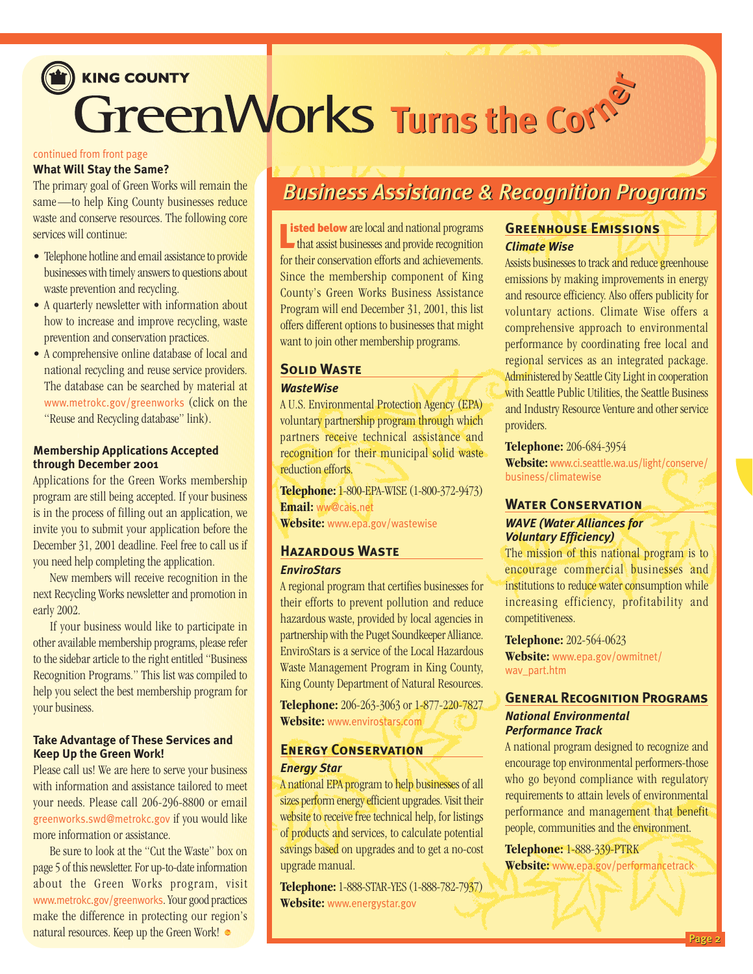# <span id="page-1-0"></span>KING COUNTY **Turns the Corne<sup>r</sup> Turns the Corne<sup>r</sup>**

### [continued from front page](#page-0-0)

### **What Will Stay the Same?**

The primary goal of Green Works will remain the same—to help King County businesses reduce waste and conserve resources. The following core services will continue:

- Telephone hotline and email assistance to provide businesses with timely answers to questions about waste prevention and recycling.
- A quarterly newsletter with information about how to increase and improve recycling, waste prevention and conservation practices.
- A comprehensive online database of local and national recycling and reuse service providers. The database can be searched by material at [www.metrokc.gov/greenworks](http://www.metrokc.gov/greenworks) (click on the "Reuse and Recycling database" link).

### **Membership Applications Accepted through December 2001**

Applications for the Green Works membership program are still being accepted. If your business is in the process of filling out an application, we invite you to submit your application before the December 31, 2001 deadline. Feel free to call us if you need help completing the application.

New members will receive recognition in the next Recycling Works newsletter and promotion in early 2002.

If your business would like to participate in other available membership programs, please refer to the sidebar article to the right entitled "Business Recognition Programs." This list was compiled to help you select the best membership program for your business.

### **Take Advantage of These Services and Keep Up the Green Work!**

Please call us! We are here to serve your business with information and assistance tailored to meet your needs. Please call 206-296-8800 or email [greenworks.swd@metrokc.gov](mailto:greenworks.swd@metrokc.gov) if you would like more information or assistance.

Be sure to look at the "Cut the Waste" box on page 5 of this newsletter. For up-to-date information about the Green Works program, visit [www.metrokc.gov/greenworks](http://www.metrokc.gov/greenworks). Your good practices make the difference in protecting our region's natural resources. Keep up the Green Work!

### *Business Assistance & Recognition Programs Business Assistance & Recognition Programs*

**Example 1 International and national programs**<br> **Let us that assist businesses and provide recognition** that assist businesses and provide recognition for their conservation efforts and achievements. Since the membership component of King County's Green Works Business Assistance Program will end December 31, 2001, this list offers different options to businesses that might want to join other membership programs.

### **Solid Waste***WasteWise*

A U.S. Environmental Protection Agency (EPA) voluntary partnership program through which partners receive technical assistance and recognition for their municipal solid waste reduction efforts.

**Telephone:** 1-800-EPA-WISE (1-800-372-9473) **Email:** [ww@cais.net](mailto:ww@cais.net) **Website:** [www.epa.gov/wastewise](http://www.epa.gov/wastewise)

### **Hazardous Waste**

### *EnviroStars*

A regional program that certifies businesses for their efforts to prevent pollution and reduce hazardous waste, provided by local agencies in partnership with the Puget Soundkeeper Alliance. EnviroStars is a service of the Local Hazardous Waste Management Program in King County, King County Department of Natural Resources.

**Telephone:** 206-263-3063 or 1-877-220-7827 **Website:** [www.envirostars.com](http://www.envirostars.com)

### **Energy Conservation***Energy Star*

A national EPA program to help businesses of all sizes perform energy efficient upgrades. Visit their website to receive free technical help, for listings of products and services, to calculate potential savings based on upgrades and to get a no-cost upgrade manual.

**Telephone:** 1-888-STAR-YES (1-888-782-7937) **Website:** [www.energystar.gov](http://www.energystar.gov)

### **Greenhouse Emissions** *Climate Wise*

Assists businesses to track and reduce greenhouse emissions by making improvements in energy and resource efficiency. Also offers publicity for voluntary actions. Climate Wise offers a comprehensive approach to environmental performance by coordinating free local and regional services as an integrated package. Administered by Seattle City Light in cooperation with Seattle Public Utilities, the Seattle Business and Industry Resource Venture and other service providers.

#### **Telephone:** 206-684-3954

**Website:**[www.ci.seattle.wa.us/light/conserve/](http://www.ci.seattle.wa.us/light/conserve/business/climatewise) [business/climatewise](http://www.ci.seattle.wa.us/light/conserve/business/climatewise)

### **Water Conservation***WAVE (Water Alliances for Voluntary Efficiency)*

The mission of this national program is to encourage commercial businesses and institutions to reduce water consumption while increasing efficiency, profitability and competitiveness.

**Telephone:** 202-564-0623 **Website:** [www.epa.gov/owmitnet/](http://www.epa.gov/owmitnet/wav_part.htm) [wav\\_part.htm](http://www.epa.gov/owmitnet/wav_part.htm)

### **General Recognition Programs***National Environmental Performance Track*

A national program designed to recognize and encourage top environmental performers-those who go beyond compliance with regulatory requirements to attain levels of environmental performance and management that benefit people, communities and the environment.

**Telephone:** 1-888-339-PTRK **Website:** [www.epa.gov/performancetrack](http://www.epa.gov/performancetrack)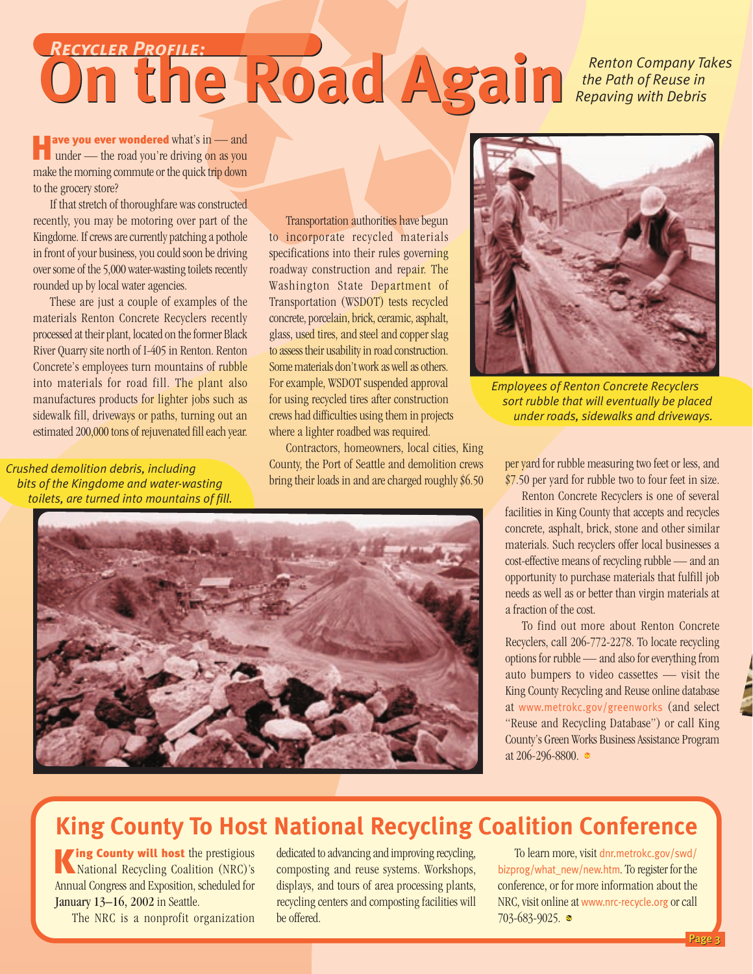### <span id="page-2-0"></span>**On the Road Again** *Renton Company Takes*<br> *Contract Road Again Repaving with Debris the Path of Reuse in Repaving with Debris Recycler Profile:*

**Ave you ever wondered** what's in — and under — the road you're driving on as you under — the road you're driving on as you make the morning commute or the quick trip down to the grocery store?

If that stretch of thoroughfare was constructed recently, you may be motoring over part of the Kingdome. If crews are currently patching a pothole in front of your business, you could soon be driving over some of the 5,000 water-wasting toilets recently rounded up by local water agencies.

These are just a couple of examples of the materials Renton Concrete Recyclers recently processed at their plant, located on the former Black River Quarry site north of I-405 in Renton. Renton Concrete's employees turn mountains of rubble into materials for road fill. The plant also manufactures products for lighter jobs such as sidewalk fill, driveways or paths, turning out an estimated 200,000 tons of rejuvenated fill each year.

*Crushed demolition debris, including bits of the Kingdome and water-wasting toilets, are turned into mountains of fill.*

Transportation authorities have begun to incorporate recycled materials specifications into their rules governing roadway construction and repair. The Washington State Department of Transportation (WSDOT) tests recycled concrete, porcelain, brick, ceramic, asphalt, glass, used tires, and steel and copper slag to assess their usability in road construction. Some materials don't work as well as others. For example, WSDOT suspended approval for using recycled tires after construction crews had difficulties using them in projects where a lighter roadbed was required.

Contractors, homeowners, local cities, King County, the Port of Seattle and demolition crews bring their loads in and are charged roughly \$6.50





*Employees of Renton Concrete Recyclers sort rubble that will eventually be placed under roads, sidewalks and driveways.*

per yard for rubble measuring two feet or less, and \$7.50 per yard for rubble two to four feet in size.

Renton Concrete Recyclers is one of several facilities in King County that accepts and recycles concrete, asphalt, brick, stone and other similar materials. Such recyclers offer local businesses a cost-effective means of recycling rubble — and an opportunity to purchase materials that fulfill job needs as well as or better than virgin materials at a fraction of the cost.

To find out more about Renton Concrete Recyclers, call 206-772-2278. To locate recycling options for rubble — and also for everything from auto bumpers to video cassettes — visit the King County Recycling and Reuse online database at [www.metrokc.gov/greenworks](http://www.metrokc.gov/greenworks) (and select "Reuse and Recycling Database") or call King County's Green Works Business Assistance Program at 206-296-8800.

### **King County To Host National Recycling Coalition Conference**

ing County will host the prestigious King County will host the prestigious<br>National Recycling Coalition (NRC)'s Annual Congress and Exposition, scheduled for January 13–16, 2002 in Seattle.

The NRC is a nonprofit organization

dedicated to advancing and improving recycling, composting and reuse systems. Workshops, displays, and tours of area processing plants, recycling centers and composting facilities will be offered.

To learn more, visit [dnr.metrokc.gov/swd/](http://dnr.metrokc.gov/swd/bizprog/what_new/new.htm) [bizprog/what\\_new/new.htm](http://dnr.metrokc.gov/swd/bizprog/what_new/new.htm). To register for the conference, or for more information about the NRC, visit online at [www.nrc-recycle.org](http://www.nrc-recycle.org) or call 703-683-9025. ●

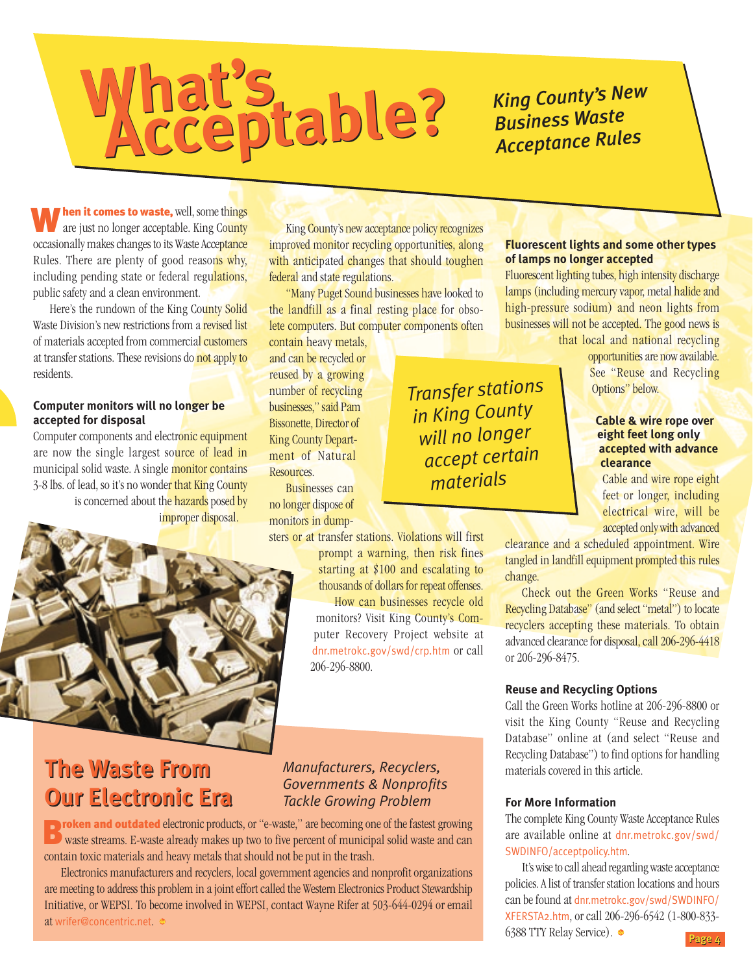### <span id="page-3-0"></span>**What's Acceptable? What's ACCEPTEDE?** *King County's New*<br> **ACCEPTEDE?** *King County's New*<br>
<u>ACCEPTED</u>

## *Business Waste Acceptance Rules*

**M** hen it comes to waste, well, some things<br>are just no longer acceptable. King County are just no longer acceptable. King County occasionally makes changes to its Waste Acceptance Rules. There are plenty of good reasons why, including pending state or federal regulations, public safety and a clean environment.

Here's the rundown of the King County Solid Waste Division's new restrictions from a revised list of materials accepted from commercial customers at transfer stations. These revisions do not apply to residents.

### **Computer monitors will no longer be accepted for disposal**

Computer components and electronic equipment are now the single largest source of lead in municipal solid waste. A single monitor contains 3-8 lbs. of lead, so it's no wonder that King County is concerned about the hazards posed by improper disposal.



### **The Waste From The Waste From Our Electronic Era Our Electronic Era**

### *Manufacturers, Recyclers, Governments & Nonprofits Tackle Growing Problem*

206-296-8800.

**D** roken and outdated electronic products, or "e-waste," are becoming one of the fastest growing **B** vaste streams. E-waste already makes up two to five percent of municipal solid waste and can waste streams. E-waste already makes up two to five percent of municipal solid waste and can contain toxic materials and heavy metals that should not be put in the trash.

Electronics manufacturers and recyclers, local government agencies and nonprofit organizations are meeting to address this problem in a joint effort called the Western Electronics Product Stewardship Initiative, or WEPSI. To become involved in WEPSI, contact Wayne Rifer at 503-644-0294 or email at [wrifer@concentric.net](mailto:wrifer@concentric.net).

### **Fluorescent lights and some other types of lamps no longer accepted**

Fluorescent lighting tubes, high intensity discharge lamps (including mercury vapor, metal halide and high-pressure sodium) and neon lights from businesses will not be accepted. The good news is that local and national recycling

opportunities are now available. See "Reuse and Recycling Options" below.

### **Cable & wire rope over eight feet long only accepted with advance clearance**

Cable and wire rope eight feet or longer, including electrical wire, will be accepted only with advanced

clearance and a scheduled appointment. Wire tangled in landfill equipment prompted this rules change.

Check out the Green Works "Reuse and Recycling Database" (and select "metal") to locate recyclers accepting these materials. To obtain advanced clearance for disposal, call 206-296-4418 or 206-296-8475.

### **Reuse and Recycling Options**

Call the Green Works hotline at 206-296-8800 or visit the King County "Reuse and Recycling Database" online at (and select "Reuse and Recycling Database") to find options for handling materials covered in this article.

### **For More Information**

The complete King County Waste Acceptance Rules are available online at [dnr.metrokc.gov/swd/](http://dnr.metrokc.gov/swd/SWDINFO/acceptpolicy.htm) [SWDINFO/acceptpolicy.htm](http://dnr.metrokc.gov/swd/SWDINFO/acceptpolicy.htm).

It's wise to call ahead regarding waste acceptance policies. A list of transfer station locations and hours can be found at [dnr.metrokc.gov/swd/SWDINFO/](http://dnr.metrokc.gov/swd/SWDINFO/XFERSTA2.htm) [XFERSTA2.htm](http://dnr.metrokc.gov/swd/SWDINFO/XFERSTA2.htm), or call 206-296-6542 (1-800-833- 6388 TTY Relay Service).

*Transfer stations in King County will no longer accept certain materials*

King County's new acceptance policy recognizes improved monitor recycling opportunities, along with anticipated changes that should toughen

"Many Puget Sound businesses have looked to the landfill as a final resting place for obsolete computers. But computer components often

> prompt a warning, then risk fines starting at \$100 and escalating to thousands of dollars for repeat offenses. How can businesses recycle old monitors? Visit King County's Computer Recovery Project website at [dnr.metrokc.gov/swd/crp.htm](http://dnr.metrokc.gov/swd/crp.htm) or call

federal and state regulations.

contain heavy metals, and can be recycled or reused by a growing number of recycling businesses," said Pam Bissonette, Director of King County Department of Natural

Businesses can no longer dispose of

**Resources**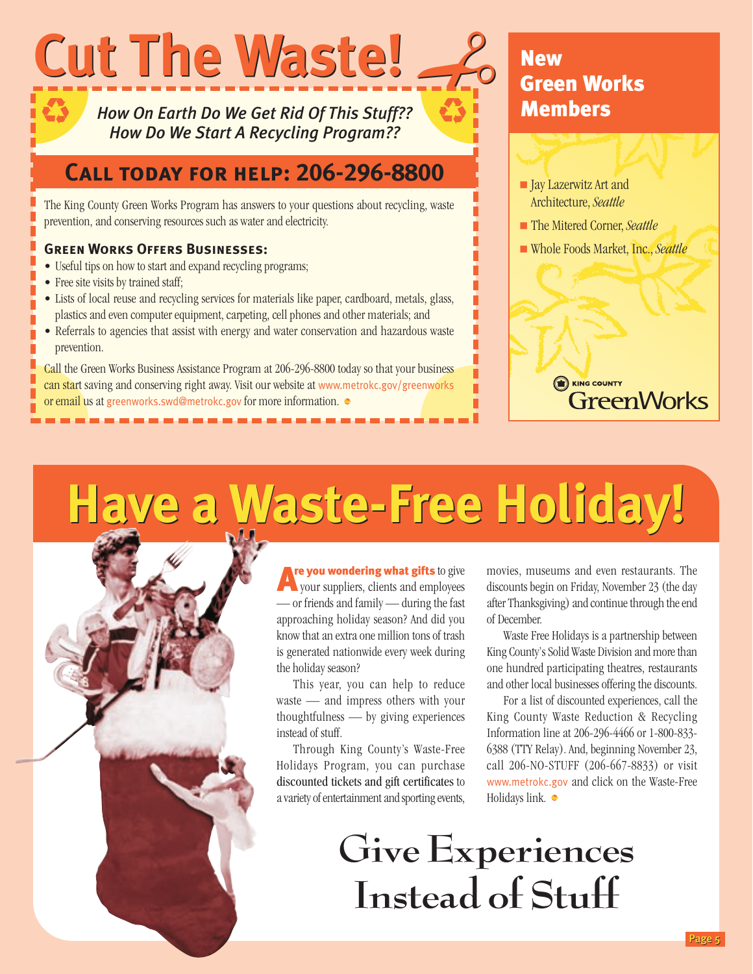<span id="page-4-0"></span>

*How On Earth Do We Get Rid Of This Stuff?? How Do We Start A Recycling Program??*

### **Call today for help: 206-296-8800**

The King County Green Works Program has answers to your questions about recycling, waste prevention, and conserving resources such as water and electricity.

### **Green Works Offers Businesses:**

- Useful tips on how to start and expand recycling programs;
- Free site visits by trained staff;
- Lists of local reuse and recycling services for materials like paper, cardboard, metals, glass, plastics and even computer equipment, carpeting, cell phones and other materials; and
- Referrals to agencies that assist with energy and water conservation and hazardous waste prevention.

Call the Green Works Business Assistance Program at 206-296-8800 today so that your business can start saving and conserving right away. Visit our website at [www.metrokc.gov/greenworks](http://www.metrokc.gov/greenworks) or email us at [greenworks.swd@metrokc.gov](mailto:greenworks.swd@metrokc.gov) for more information.

## **Example 2**<br> **New Gree** Green Works **Members**

- Jay Lazerwitz Art and Architecture, *Seattle*
- The Mitered Corner, *Seattle*
- Whole Foods Market, Inc., *Seattle*

# **THE COUNTY**<br>GreenWorks

# **Have a Waste-Free Holiday! Have a Waste-Free Holiday!**

Are you wondering what gifts to give your suppliers, clients and employees — or friends and family — during the fast approaching holiday season? And did you know that an extra one million tons of trash is generated nationwide every week during the holiday season?

This year, you can help to reduce waste — and impress others with your thoughtfulness — by giving experiences instead of stuff.

Through King County's Waste-Free Holidays Program, you can purchase discounted tickets and gift certificates to a variety of entertainment and sporting events,

movies, museums and even restaurants. The discounts begin on Friday, November 23 (the day after Thanksgiving) and continue through the end of December.

Waste Free Holidays is a partnership between King County's Solid Waste Division and more than one hundred participating theatres, restaurants and other local businesses offering the discounts.

For a list of discounted experiences, call the King County Waste Reduction & Recycling Information line at 206-296-4466 or 1-800-833- 6388 (TTY Relay). And, beginning November 23, call 206-NO-STUFF (206-667-8833) or visit [www.metrokc.gov](http://www.metrokc.gov) and click on the Waste-Free Holidays link.  $\bullet$ 

# **Give Experiences Instead of Stuff**